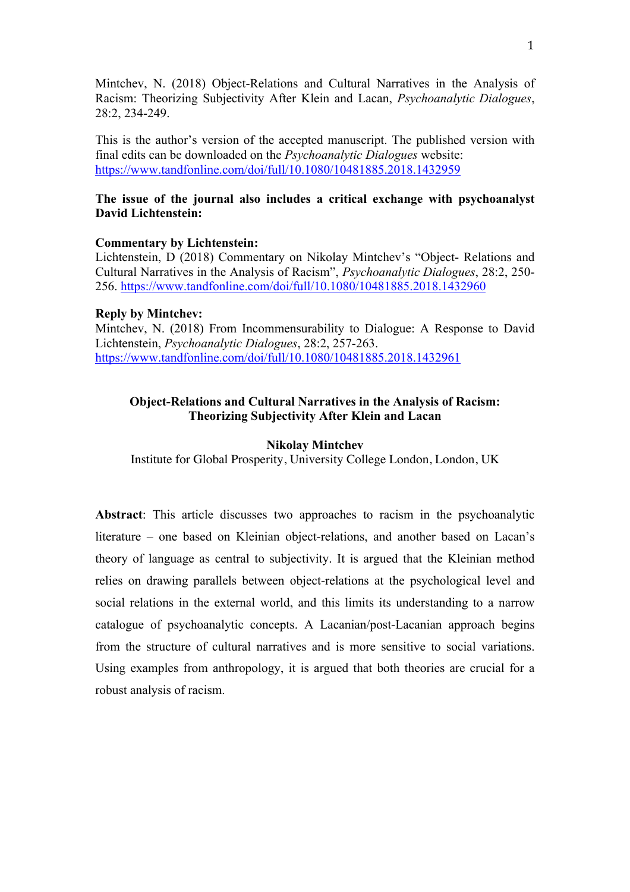Mintchev, N. (2018) Object-Relations and Cultural Narratives in the Analysis of Racism: Theorizing Subjectivity After Klein and Lacan, *Psychoanalytic Dialogues*, 28:2, 234-249.

This is the author's version of the accepted manuscript. The published version with final edits can be downloaded on the *Psychoanalytic Dialogues* website: https://www.tandfonline.com/doi/full/10.1080/10481885.2018.1432959

## **The issue of the journal also includes a critical exchange with psychoanalyst David Lichtenstein:**

### **Commentary by Lichtenstein:**

Lichtenstein, D (2018) Commentary on Nikolay Mintchev's "Object- Relations and Cultural Narratives in the Analysis of Racism", *Psychoanalytic Dialogues*, 28:2, 250- 256. https://www.tandfonline.com/doi/full/10.1080/10481885.2018.1432960

### **Reply by Mintchev:**

Mintchev, N. (2018) From Incommensurability to Dialogue: A Response to David Lichtenstein, *Psychoanalytic Dialogues*, 28:2, 257-263. https://www.tandfonline.com/doi/full/10.1080/10481885.2018.1432961

# **Object-Relations and Cultural Narratives in the Analysis of Racism: Theorizing Subjectivity After Klein and Lacan**

#### **Nikolay Mintchev**

Institute for Global Prosperity, University College London, London, UK

**Abstract**: This article discusses two approaches to racism in the psychoanalytic literature – one based on Kleinian object-relations, and another based on Lacan's theory of language as central to subjectivity. It is argued that the Kleinian method relies on drawing parallels between object-relations at the psychological level and social relations in the external world, and this limits its understanding to a narrow catalogue of psychoanalytic concepts. A Lacanian/post-Lacanian approach begins from the structure of cultural narratives and is more sensitive to social variations. Using examples from anthropology, it is argued that both theories are crucial for a robust analysis of racism.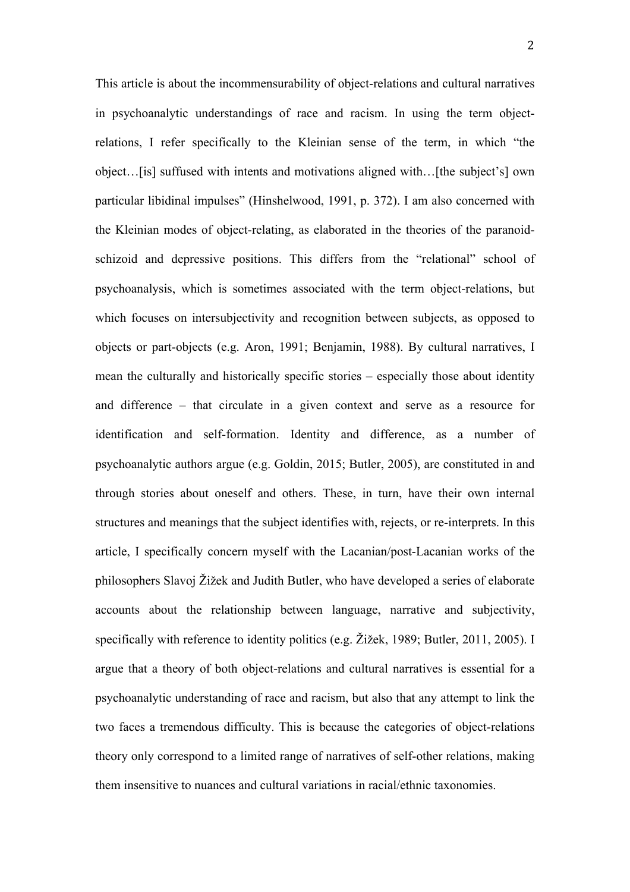This article is about the incommensurability of object-relations and cultural narratives in psychoanalytic understandings of race and racism. In using the term objectrelations, I refer specifically to the Kleinian sense of the term, in which "the object…[is] suffused with intents and motivations aligned with…[the subject's] own particular libidinal impulses" (Hinshelwood, 1991, p. 372). I am also concerned with the Kleinian modes of object-relating, as elaborated in the theories of the paranoidschizoid and depressive positions. This differs from the "relational" school of psychoanalysis, which is sometimes associated with the term object-relations, but which focuses on intersubjectivity and recognition between subjects, as opposed to objects or part-objects (e.g. Aron, 1991; Benjamin, 1988). By cultural narratives, I mean the culturally and historically specific stories – especially those about identity and difference – that circulate in a given context and serve as a resource for identification and self-formation. Identity and difference, as a number of psychoanalytic authors argue (e.g. Goldin, 2015; Butler, 2005), are constituted in and through stories about oneself and others. These, in turn, have their own internal structures and meanings that the subject identifies with, rejects, or re-interprets. In this article, I specifically concern myself with the Lacanian/post-Lacanian works of the philosophers Slavoj Žižek and Judith Butler, who have developed a series of elaborate accounts about the relationship between language, narrative and subjectivity, specifically with reference to identity politics (e.g. Žižek, 1989; Butler, 2011, 2005). I argue that a theory of both object-relations and cultural narratives is essential for a psychoanalytic understanding of race and racism, but also that any attempt to link the two faces a tremendous difficulty. This is because the categories of object-relations theory only correspond to a limited range of narratives of self-other relations, making them insensitive to nuances and cultural variations in racial/ethnic taxonomies.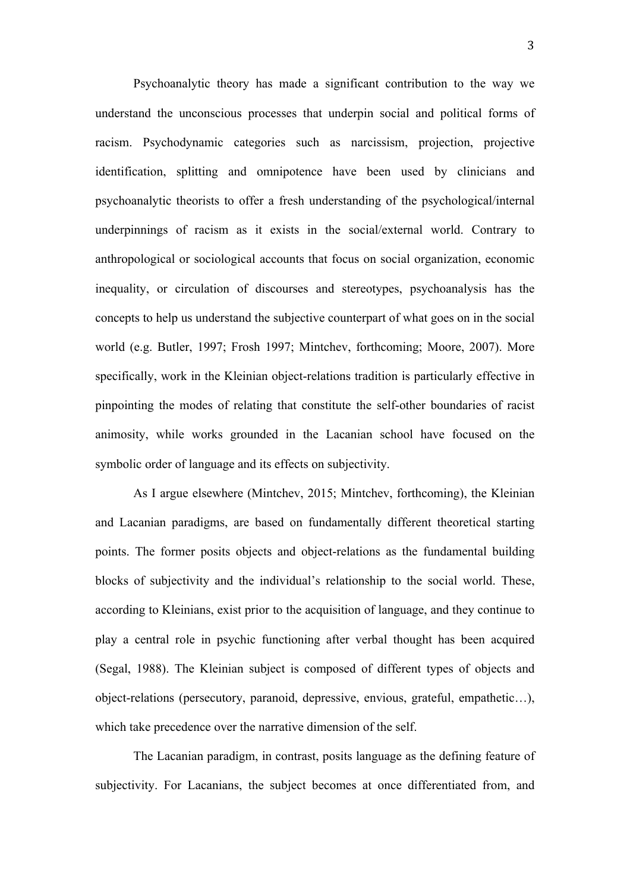Psychoanalytic theory has made a significant contribution to the way we understand the unconscious processes that underpin social and political forms of racism. Psychodynamic categories such as narcissism, projection, projective identification, splitting and omnipotence have been used by clinicians and psychoanalytic theorists to offer a fresh understanding of the psychological/internal underpinnings of racism as it exists in the social/external world. Contrary to anthropological or sociological accounts that focus on social organization, economic inequality, or circulation of discourses and stereotypes, psychoanalysis has the concepts to help us understand the subjective counterpart of what goes on in the social world (e.g. Butler, 1997; Frosh 1997; Mintchev, forthcoming; Moore, 2007). More specifically, work in the Kleinian object-relations tradition is particularly effective in pinpointing the modes of relating that constitute the self-other boundaries of racist animosity, while works grounded in the Lacanian school have focused on the symbolic order of language and its effects on subjectivity.

As I argue elsewhere (Mintchev, 2015; Mintchev, forthcoming), the Kleinian and Lacanian paradigms, are based on fundamentally different theoretical starting points. The former posits objects and object-relations as the fundamental building blocks of subjectivity and the individual's relationship to the social world. These, according to Kleinians, exist prior to the acquisition of language, and they continue to play a central role in psychic functioning after verbal thought has been acquired (Segal, 1988). The Kleinian subject is composed of different types of objects and object-relations (persecutory, paranoid, depressive, envious, grateful, empathetic…), which take precedence over the narrative dimension of the self.

The Lacanian paradigm, in contrast, posits language as the defining feature of subjectivity. For Lacanians, the subject becomes at once differentiated from, and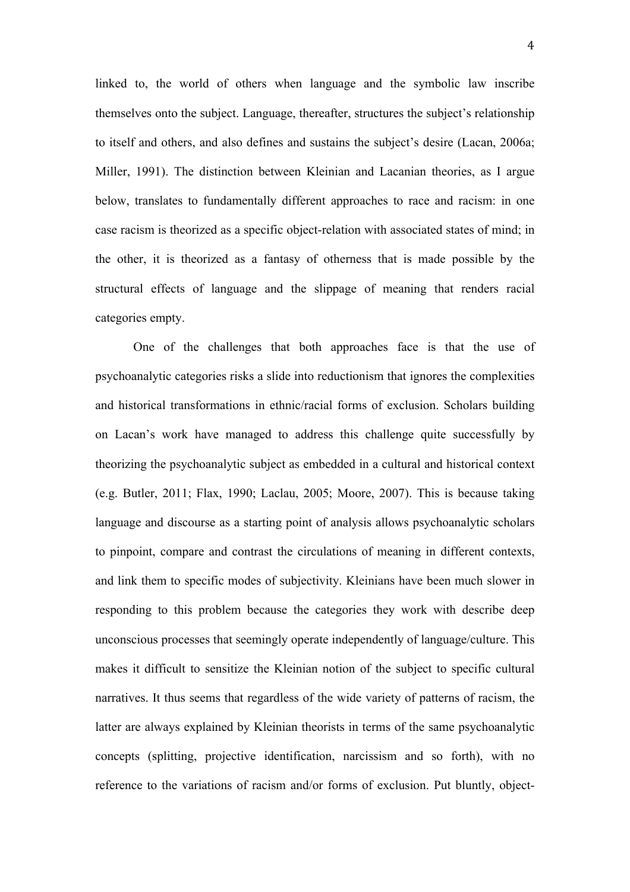linked to, the world of others when language and the symbolic law inscribe themselves onto the subject. Language, thereafter, structures the subject's relationship to itself and others, and also defines and sustains the subject's desire (Lacan, 2006a; Miller, 1991). The distinction between Kleinian and Lacanian theories, as I argue below, translates to fundamentally different approaches to race and racism: in one case racism is theorized as a specific object-relation with associated states of mind; in the other, it is theorized as a fantasy of otherness that is made possible by the structural effects of language and the slippage of meaning that renders racial categories empty.

One of the challenges that both approaches face is that the use of psychoanalytic categories risks a slide into reductionism that ignores the complexities and historical transformations in ethnic/racial forms of exclusion. Scholars building on Lacan's work have managed to address this challenge quite successfully by theorizing the psychoanalytic subject as embedded in a cultural and historical context (e.g. Butler, 2011; Flax, 1990; Laclau, 2005; Moore, 2007). This is because taking language and discourse as a starting point of analysis allows psychoanalytic scholars to pinpoint, compare and contrast the circulations of meaning in different contexts, and link them to specific modes of subjectivity. Kleinians have been much slower in responding to this problem because the categories they work with describe deep unconscious processes that seemingly operate independently of language/culture. This makes it difficult to sensitize the Kleinian notion of the subject to specific cultural narratives. It thus seems that regardless of the wide variety of patterns of racism, the latter are always explained by Kleinian theorists in terms of the same psychoanalytic concepts (splitting, projective identification, narcissism and so forth), with no reference to the variations of racism and/or forms of exclusion. Put bluntly, object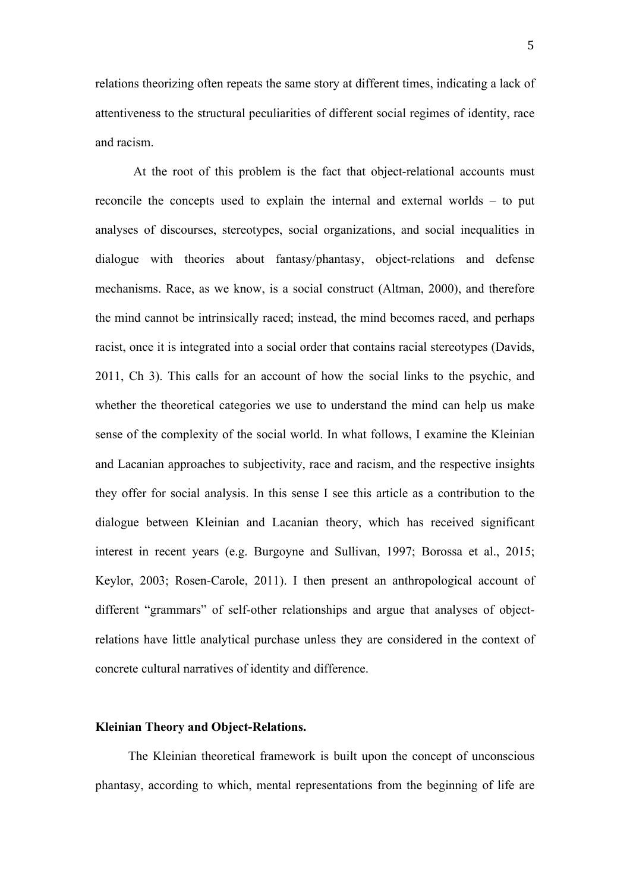relations theorizing often repeats the same story at different times, indicating a lack of attentiveness to the structural peculiarities of different social regimes of identity, race and racism.

At the root of this problem is the fact that object-relational accounts must reconcile the concepts used to explain the internal and external worlds – to put analyses of discourses, stereotypes, social organizations, and social inequalities in dialogue with theories about fantasy/phantasy, object-relations and defense mechanisms. Race, as we know, is a social construct (Altman, 2000), and therefore the mind cannot be intrinsically raced; instead, the mind becomes raced, and perhaps racist, once it is integrated into a social order that contains racial stereotypes (Davids, 2011, Ch 3). This calls for an account of how the social links to the psychic, and whether the theoretical categories we use to understand the mind can help us make sense of the complexity of the social world. In what follows, I examine the Kleinian and Lacanian approaches to subjectivity, race and racism, and the respective insights they offer for social analysis. In this sense I see this article as a contribution to the dialogue between Kleinian and Lacanian theory, which has received significant interest in recent years (e.g. Burgoyne and Sullivan, 1997; Borossa et al., 2015; Keylor, 2003; Rosen-Carole, 2011). I then present an anthropological account of different "grammars" of self-other relationships and argue that analyses of objectrelations have little analytical purchase unless they are considered in the context of concrete cultural narratives of identity and difference.

## **Kleinian Theory and Object-Relations.**

The Kleinian theoretical framework is built upon the concept of unconscious phantasy, according to which, mental representations from the beginning of life are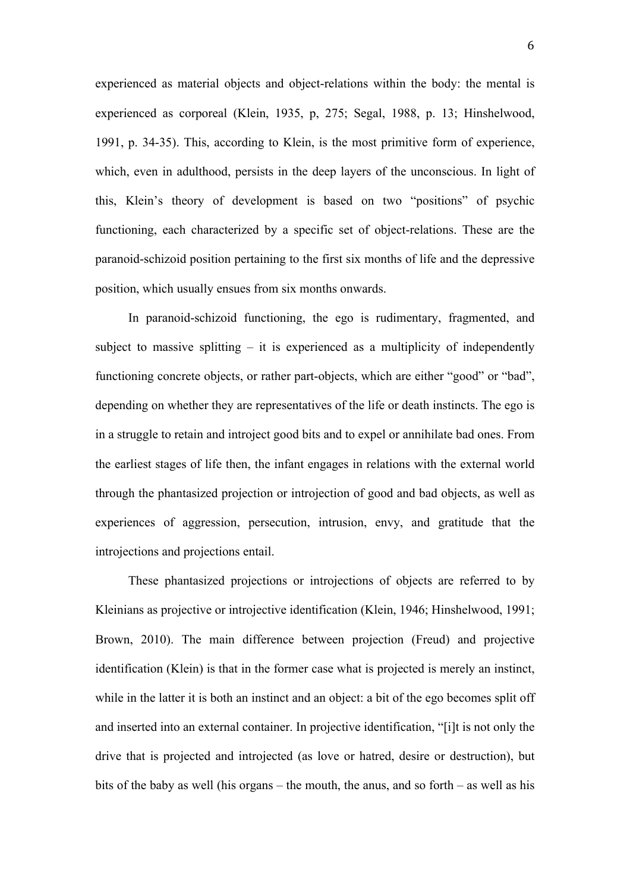experienced as material objects and object-relations within the body: the mental is experienced as corporeal (Klein, 1935, p, 275; Segal, 1988, p. 13; Hinshelwood, 1991, p. 34-35). This, according to Klein, is the most primitive form of experience, which, even in adulthood, persists in the deep layers of the unconscious. In light of this, Klein's theory of development is based on two "positions" of psychic functioning, each characterized by a specific set of object-relations. These are the paranoid-schizoid position pertaining to the first six months of life and the depressive position, which usually ensues from six months onwards.

In paranoid-schizoid functioning, the ego is rudimentary, fragmented, and subject to massive splitting  $-$  it is experienced as a multiplicity of independently functioning concrete objects, or rather part-objects, which are either "good" or "bad", depending on whether they are representatives of the life or death instincts. The ego is in a struggle to retain and introject good bits and to expel or annihilate bad ones. From the earliest stages of life then, the infant engages in relations with the external world through the phantasized projection or introjection of good and bad objects, as well as experiences of aggression, persecution, intrusion, envy, and gratitude that the introjections and projections entail.

These phantasized projections or introjections of objects are referred to by Kleinians as projective or introjective identification (Klein, 1946; Hinshelwood, 1991; Brown, 2010). The main difference between projection (Freud) and projective identification (Klein) is that in the former case what is projected is merely an instinct, while in the latter it is both an instinct and an object: a bit of the ego becomes split off and inserted into an external container. In projective identification, "[i]t is not only the drive that is projected and introjected (as love or hatred, desire or destruction), but bits of the baby as well (his organs – the mouth, the anus, and so forth – as well as his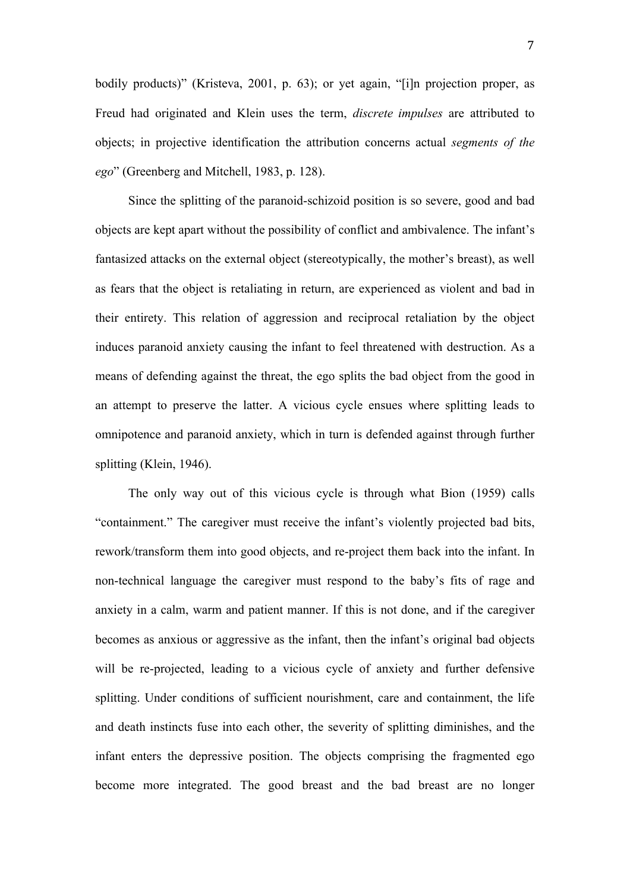bodily products)" (Kristeva, 2001, p. 63); or yet again, "[i]n projection proper, as Freud had originated and Klein uses the term, *discrete impulses* are attributed to objects; in projective identification the attribution concerns actual *segments of the ego*" (Greenberg and Mitchell, 1983, p. 128).

Since the splitting of the paranoid-schizoid position is so severe, good and bad objects are kept apart without the possibility of conflict and ambivalence. The infant's fantasized attacks on the external object (stereotypically, the mother's breast), as well as fears that the object is retaliating in return, are experienced as violent and bad in their entirety. This relation of aggression and reciprocal retaliation by the object induces paranoid anxiety causing the infant to feel threatened with destruction. As a means of defending against the threat, the ego splits the bad object from the good in an attempt to preserve the latter. A vicious cycle ensues where splitting leads to omnipotence and paranoid anxiety, which in turn is defended against through further splitting (Klein, 1946).

The only way out of this vicious cycle is through what Bion (1959) calls "containment." The caregiver must receive the infant's violently projected bad bits, rework/transform them into good objects, and re-project them back into the infant. In non-technical language the caregiver must respond to the baby's fits of rage and anxiety in a calm, warm and patient manner. If this is not done, and if the caregiver becomes as anxious or aggressive as the infant, then the infant's original bad objects will be re-projected, leading to a vicious cycle of anxiety and further defensive splitting. Under conditions of sufficient nourishment, care and containment, the life and death instincts fuse into each other, the severity of splitting diminishes, and the infant enters the depressive position. The objects comprising the fragmented ego become more integrated. The good breast and the bad breast are no longer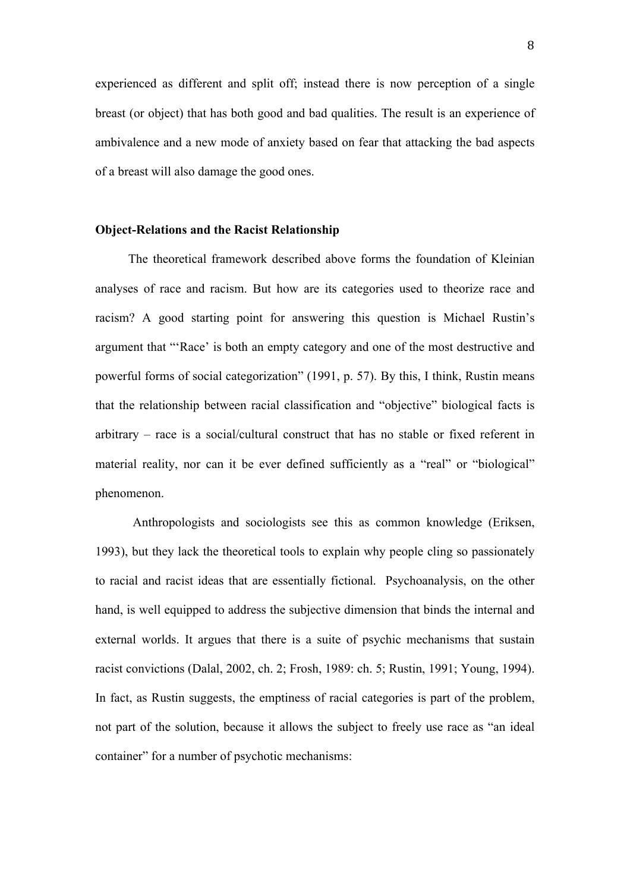experienced as different and split off; instead there is now perception of a single breast (or object) that has both good and bad qualities. The result is an experience of ambivalence and a new mode of anxiety based on fear that attacking the bad aspects of a breast will also damage the good ones.

### **Object-Relations and the Racist Relationship**

The theoretical framework described above forms the foundation of Kleinian analyses of race and racism. But how are its categories used to theorize race and racism? A good starting point for answering this question is Michael Rustin's argument that "'Race' is both an empty category and one of the most destructive and powerful forms of social categorization" (1991, p. 57). By this, I think, Rustin means that the relationship between racial classification and "objective" biological facts is arbitrary – race is a social/cultural construct that has no stable or fixed referent in material reality, nor can it be ever defined sufficiently as a "real" or "biological" phenomenon.

Anthropologists and sociologists see this as common knowledge (Eriksen, 1993), but they lack the theoretical tools to explain why people cling so passionately to racial and racist ideas that are essentially fictional. Psychoanalysis, on the other hand, is well equipped to address the subjective dimension that binds the internal and external worlds. It argues that there is a suite of psychic mechanisms that sustain racist convictions (Dalal, 2002, ch. 2; Frosh, 1989: ch. 5; Rustin, 1991; Young, 1994). In fact, as Rustin suggests, the emptiness of racial categories is part of the problem, not part of the solution, because it allows the subject to freely use race as "an ideal container" for a number of psychotic mechanisms: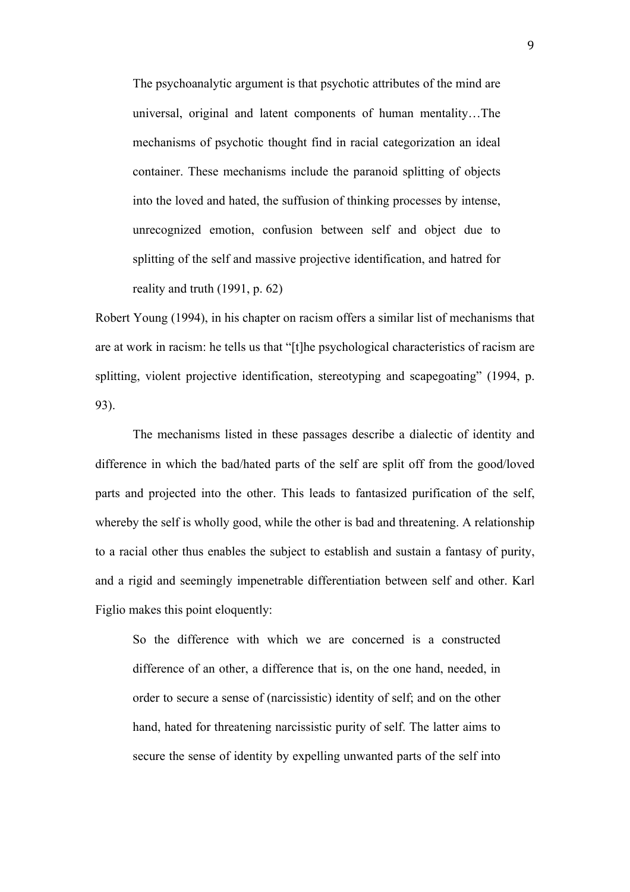The psychoanalytic argument is that psychotic attributes of the mind are universal, original and latent components of human mentality…The mechanisms of psychotic thought find in racial categorization an ideal container. These mechanisms include the paranoid splitting of objects into the loved and hated, the suffusion of thinking processes by intense, unrecognized emotion, confusion between self and object due to splitting of the self and massive projective identification, and hatred for reality and truth (1991, p. 62)

Robert Young (1994), in his chapter on racism offers a similar list of mechanisms that are at work in racism: he tells us that "[t]he psychological characteristics of racism are splitting, violent projective identification, stereotyping and scapegoating" (1994, p. 93).

The mechanisms listed in these passages describe a dialectic of identity and difference in which the bad/hated parts of the self are split off from the good/loved parts and projected into the other. This leads to fantasized purification of the self, whereby the self is wholly good, while the other is bad and threatening. A relationship to a racial other thus enables the subject to establish and sustain a fantasy of purity, and a rigid and seemingly impenetrable differentiation between self and other. Karl Figlio makes this point eloquently:

So the difference with which we are concerned is a constructed difference of an other, a difference that is, on the one hand, needed, in order to secure a sense of (narcissistic) identity of self; and on the other hand, hated for threatening narcissistic purity of self. The latter aims to secure the sense of identity by expelling unwanted parts of the self into 9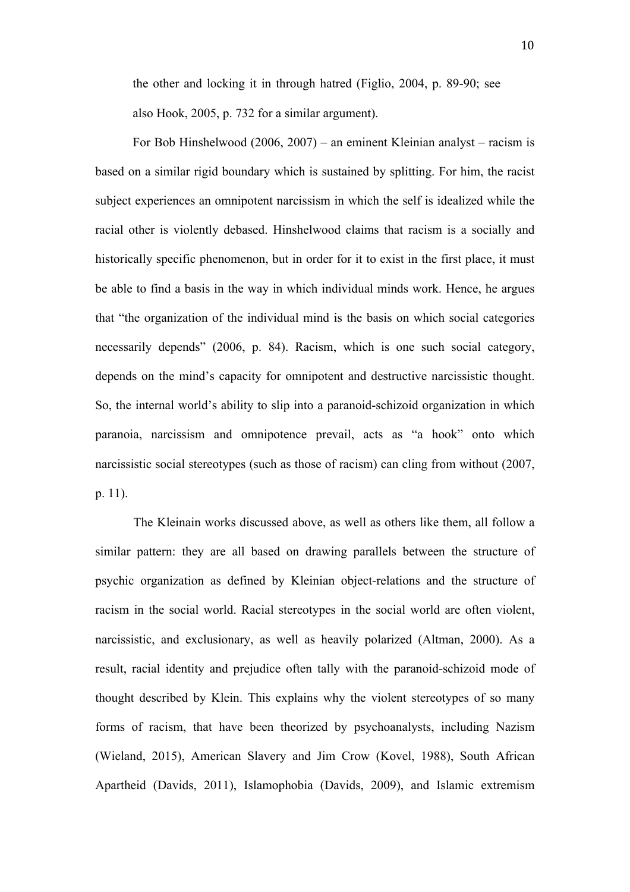the other and locking it in through hatred (Figlio, 2004, p. 89-90; see also Hook, 2005, p. 732 for a similar argument).

For Bob Hinshelwood (2006, 2007) – an eminent Kleinian analyst – racism is based on a similar rigid boundary which is sustained by splitting. For him, the racist subject experiences an omnipotent narcissism in which the self is idealized while the racial other is violently debased. Hinshelwood claims that racism is a socially and historically specific phenomenon, but in order for it to exist in the first place, it must be able to find a basis in the way in which individual minds work. Hence, he argues that "the organization of the individual mind is the basis on which social categories necessarily depends" (2006, p. 84). Racism, which is one such social category, depends on the mind's capacity for omnipotent and destructive narcissistic thought. So, the internal world's ability to slip into a paranoid-schizoid organization in which paranoia, narcissism and omnipotence prevail, acts as "a hook" onto which narcissistic social stereotypes (such as those of racism) can cling from without (2007, p. 11).

The Kleinain works discussed above, as well as others like them, all follow a similar pattern: they are all based on drawing parallels between the structure of psychic organization as defined by Kleinian object-relations and the structure of racism in the social world. Racial stereotypes in the social world are often violent, narcissistic, and exclusionary, as well as heavily polarized (Altman, 2000). As a result, racial identity and prejudice often tally with the paranoid-schizoid mode of thought described by Klein. This explains why the violent stereotypes of so many forms of racism, that have been theorized by psychoanalysts, including Nazism (Wieland, 2015), American Slavery and Jim Crow (Kovel, 1988), South African Apartheid (Davids, 2011), Islamophobia (Davids, 2009), and Islamic extremism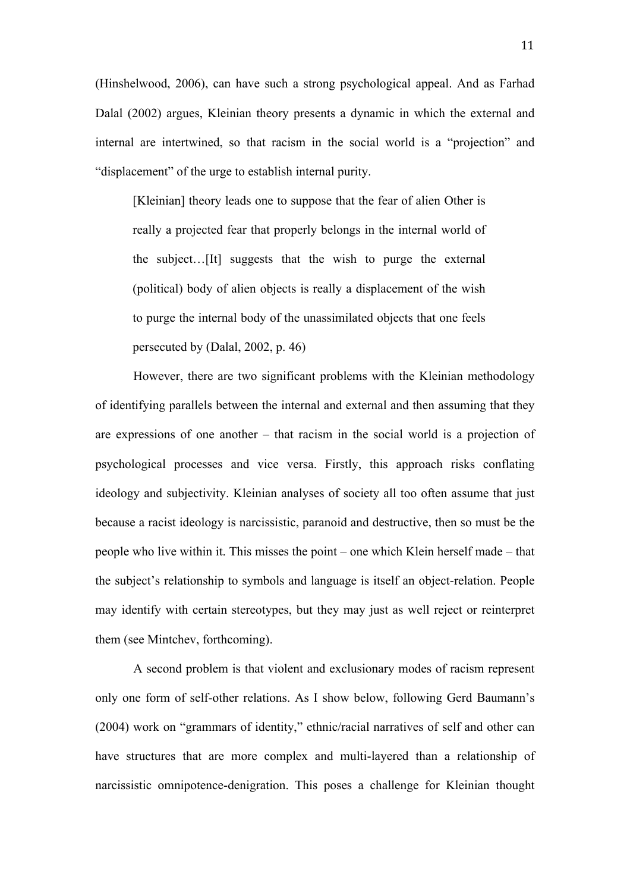(Hinshelwood, 2006), can have such a strong psychological appeal. And as Farhad Dalal (2002) argues, Kleinian theory presents a dynamic in which the external and internal are intertwined, so that racism in the social world is a "projection" and "displacement" of the urge to establish internal purity.

[Kleinian] theory leads one to suppose that the fear of alien Other is really a projected fear that properly belongs in the internal world of the subject…[It] suggests that the wish to purge the external (political) body of alien objects is really a displacement of the wish to purge the internal body of the unassimilated objects that one feels persecuted by (Dalal, 2002, p. 46)

However, there are two significant problems with the Kleinian methodology of identifying parallels between the internal and external and then assuming that they are expressions of one another – that racism in the social world is a projection of psychological processes and vice versa. Firstly, this approach risks conflating ideology and subjectivity. Kleinian analyses of society all too often assume that just because a racist ideology is narcissistic, paranoid and destructive, then so must be the people who live within it. This misses the point – one which Klein herself made – that the subject's relationship to symbols and language is itself an object-relation. People may identify with certain stereotypes, but they may just as well reject or reinterpret them (see Mintchev, forthcoming).

A second problem is that violent and exclusionary modes of racism represent only one form of self-other relations. As I show below, following Gerd Baumann's (2004) work on "grammars of identity," ethnic/racial narratives of self and other can have structures that are more complex and multi-layered than a relationship of narcissistic omnipotence-denigration. This poses a challenge for Kleinian thought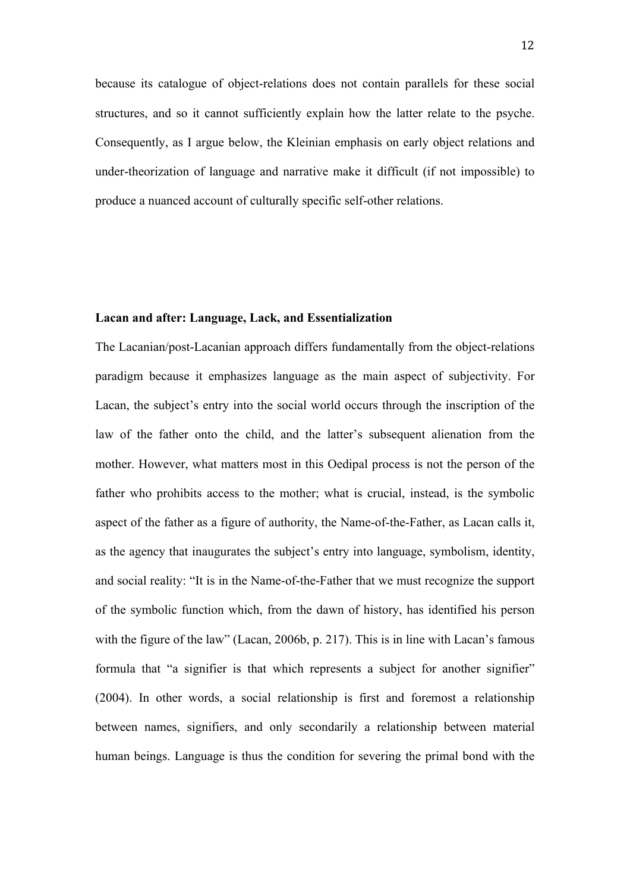because its catalogue of object-relations does not contain parallels for these social structures, and so it cannot sufficiently explain how the latter relate to the psyche. Consequently, as I argue below, the Kleinian emphasis on early object relations and under-theorization of language and narrative make it difficult (if not impossible) to produce a nuanced account of culturally specific self-other relations.

### **Lacan and after: Language, Lack, and Essentialization**

The Lacanian/post-Lacanian approach differs fundamentally from the object-relations paradigm because it emphasizes language as the main aspect of subjectivity. For Lacan, the subject's entry into the social world occurs through the inscription of the law of the father onto the child, and the latter's subsequent alienation from the mother. However, what matters most in this Oedipal process is not the person of the father who prohibits access to the mother; what is crucial, instead, is the symbolic aspect of the father as a figure of authority, the Name-of-the-Father, as Lacan calls it, as the agency that inaugurates the subject's entry into language, symbolism, identity, and social reality: "It is in the Name-of-the-Father that we must recognize the support of the symbolic function which, from the dawn of history, has identified his person with the figure of the law" (Lacan, 2006b, p. 217). This is in line with Lacan's famous formula that "a signifier is that which represents a subject for another signifier" (2004). In other words, a social relationship is first and foremost a relationship between names, signifiers, and only secondarily a relationship between material human beings. Language is thus the condition for severing the primal bond with the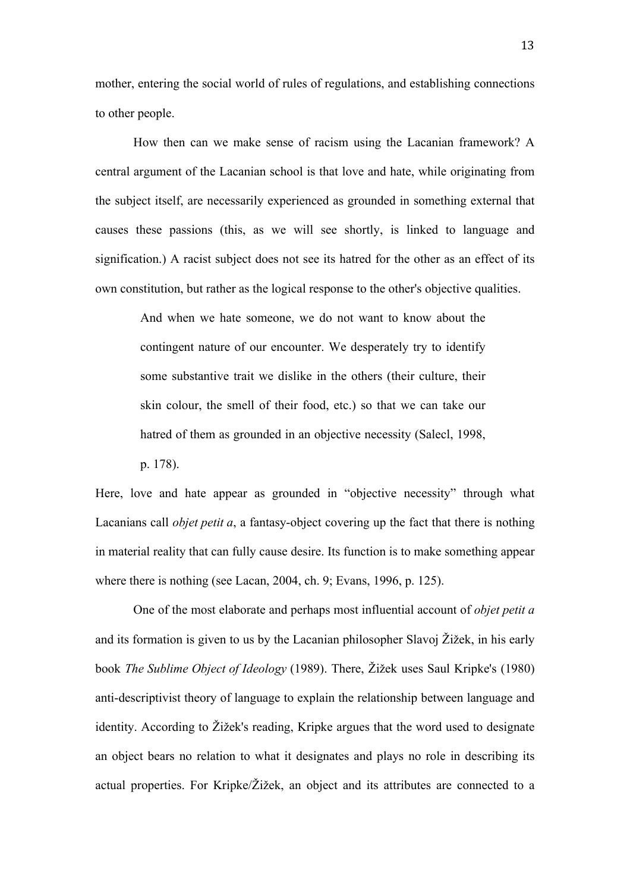mother, entering the social world of rules of regulations, and establishing connections to other people.

How then can we make sense of racism using the Lacanian framework? A central argument of the Lacanian school is that love and hate, while originating from the subject itself, are necessarily experienced as grounded in something external that causes these passions (this, as we will see shortly, is linked to language and signification.) A racist subject does not see its hatred for the other as an effect of its own constitution, but rather as the logical response to the other's objective qualities.

> And when we hate someone, we do not want to know about the contingent nature of our encounter. We desperately try to identify some substantive trait we dislike in the others (their culture, their skin colour, the smell of their food, etc.) so that we can take our hatred of them as grounded in an objective necessity (Salecl, 1998,

p. 178).

Here, love and hate appear as grounded in "objective necessity" through what Lacanians call *objet petit a*, a fantasy-object covering up the fact that there is nothing in material reality that can fully cause desire. Its function is to make something appear where there is nothing (see Lacan, 2004, ch. 9; Evans, 1996, p. 125).

One of the most elaborate and perhaps most influential account of *objet petit a* and its formation is given to us by the Lacanian philosopher Slavoj Žižek, in his early book *The Sublime Object of Ideology* (1989). There, Žižek uses Saul Kripke's (1980) anti-descriptivist theory of language to explain the relationship between language and identity. According to Žižek's reading, Kripke argues that the word used to designate an object bears no relation to what it designates and plays no role in describing its actual properties. For Kripke/Žižek, an object and its attributes are connected to a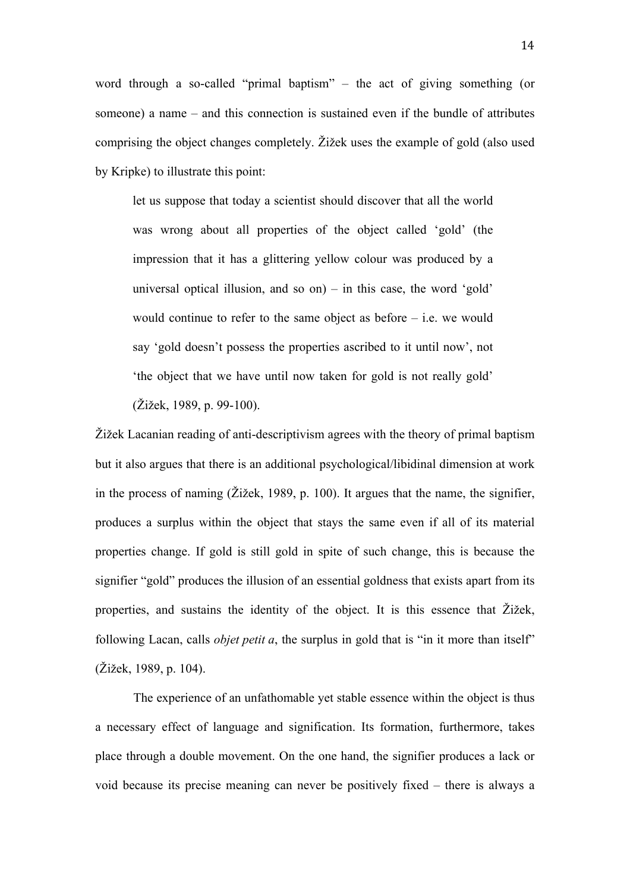word through a so-called "primal baptism" – the act of giving something (or someone) a name – and this connection is sustained even if the bundle of attributes comprising the object changes completely. Žižek uses the example of gold (also used by Kripke) to illustrate this point:

let us suppose that today a scientist should discover that all the world was wrong about all properties of the object called 'gold' (the impression that it has a glittering yellow colour was produced by a universal optical illusion, and so on) – in this case, the word 'gold' would continue to refer to the same object as before – i.e. we would say 'gold doesn't possess the properties ascribed to it until now', not 'the object that we have until now taken for gold is not really gold' (Žižek, 1989, p. 99-100).

Žižek Lacanian reading of anti-descriptivism agrees with the theory of primal baptism but it also argues that there is an additional psychological/libidinal dimension at work in the process of naming (Žižek, 1989, p. 100). It argues that the name, the signifier, produces a surplus within the object that stays the same even if all of its material properties change. If gold is still gold in spite of such change, this is because the signifier "gold" produces the illusion of an essential goldness that exists apart from its properties, and sustains the identity of the object. It is this essence that Žižek, following Lacan, calls *objet petit a*, the surplus in gold that is "in it more than itself" (Žižek, 1989, p. 104).

The experience of an unfathomable yet stable essence within the object is thus a necessary effect of language and signification. Its formation, furthermore, takes place through a double movement. On the one hand, the signifier produces a lack or void because its precise meaning can never be positively fixed – there is always a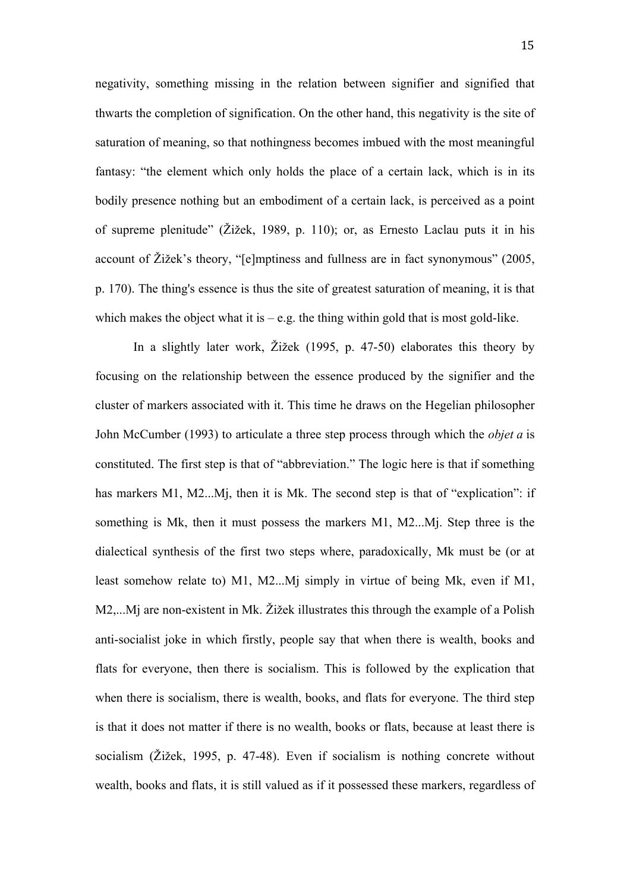negativity, something missing in the relation between signifier and signified that thwarts the completion of signification. On the other hand, this negativity is the site of saturation of meaning, so that nothingness becomes imbued with the most meaningful fantasy: "the element which only holds the place of a certain lack, which is in its bodily presence nothing but an embodiment of a certain lack, is perceived as a point of supreme plenitude" (Žižek, 1989, p. 110); or, as Ernesto Laclau puts it in his account of Žižek's theory, "[e]mptiness and fullness are in fact synonymous" (2005, p. 170). The thing's essence is thus the site of greatest saturation of meaning, it is that which makes the object what it is  $-e.g.$  the thing within gold that is most gold-like.

In a slightly later work, Žižek (1995, p. 47-50) elaborates this theory by focusing on the relationship between the essence produced by the signifier and the cluster of markers associated with it. This time he draws on the Hegelian philosopher John McCumber (1993) to articulate a three step process through which the *objet a* is constituted. The first step is that of "abbreviation." The logic here is that if something has markers M1, M2...M<sub>1</sub>, then it is Mk. The second step is that of "explication": if something is Mk, then it must possess the markers M1, M2...Mj. Step three is the dialectical synthesis of the first two steps where, paradoxically, Mk must be (or at least somehow relate to) M1, M2...Mj simply in virtue of being Mk, even if M1, M2,...Mj are non-existent in Mk. Žižek illustrates this through the example of a Polish anti-socialist joke in which firstly, people say that when there is wealth, books and flats for everyone, then there is socialism. This is followed by the explication that when there is socialism, there is wealth, books, and flats for everyone. The third step is that it does not matter if there is no wealth, books or flats, because at least there is socialism (Žižek, 1995, p. 47-48). Even if socialism is nothing concrete without wealth, books and flats, it is still valued as if it possessed these markers, regardless of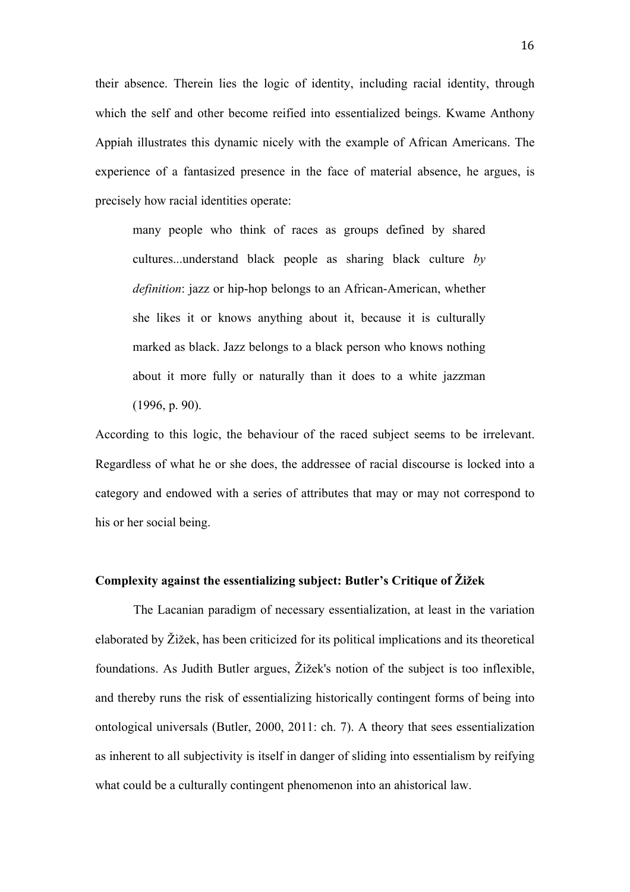their absence. Therein lies the logic of identity, including racial identity, through which the self and other become reified into essentialized beings. Kwame Anthony Appiah illustrates this dynamic nicely with the example of African Americans. The experience of a fantasized presence in the face of material absence, he argues, is precisely how racial identities operate:

many people who think of races as groups defined by shared cultures...understand black people as sharing black culture *by definition*: jazz or hip-hop belongs to an African-American, whether she likes it or knows anything about it, because it is culturally marked as black. Jazz belongs to a black person who knows nothing about it more fully or naturally than it does to a white jazzman (1996, p. 90).

According to this logic, the behaviour of the raced subject seems to be irrelevant. Regardless of what he or she does, the addressee of racial discourse is locked into a category and endowed with a series of attributes that may or may not correspond to his or her social being.

### **Complexity against the essentializing subject: Butler's Critique of Žižek**

The Lacanian paradigm of necessary essentialization, at least in the variation elaborated by Žižek, has been criticized for its political implications and its theoretical foundations. As Judith Butler argues, Žižek's notion of the subject is too inflexible, and thereby runs the risk of essentializing historically contingent forms of being into ontological universals (Butler, 2000, 2011: ch. 7). A theory that sees essentialization as inherent to all subjectivity is itself in danger of sliding into essentialism by reifying what could be a culturally contingent phenomenon into an ahistorical law.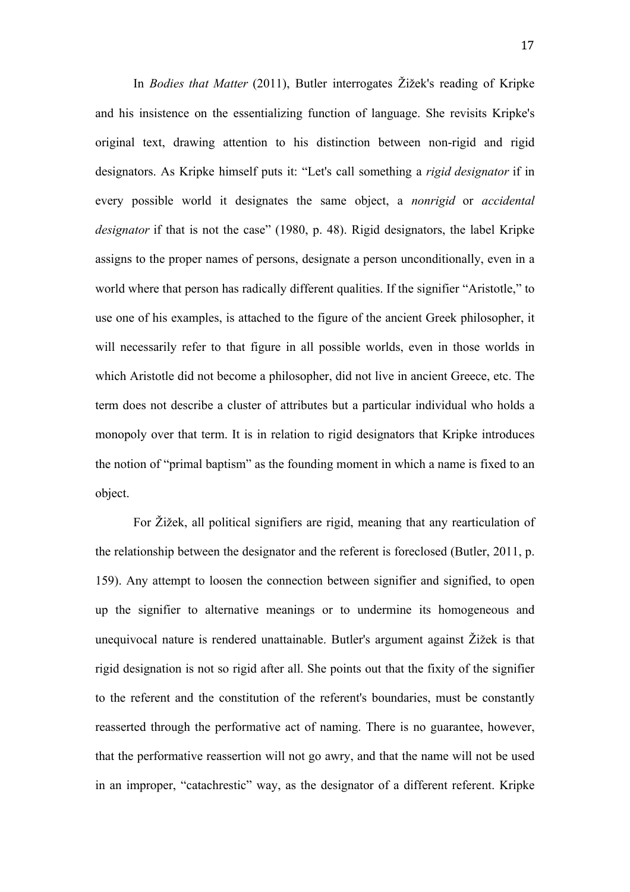In *Bodies that Matter* (2011), Butler interrogates Žižek's reading of Kripke and his insistence on the essentializing function of language. She revisits Kripke's original text, drawing attention to his distinction between non-rigid and rigid designators. As Kripke himself puts it: "Let's call something a *rigid designator* if in every possible world it designates the same object, a *nonrigid* or *accidental designator* if that is not the case" (1980, p. 48). Rigid designators, the label Kripke assigns to the proper names of persons, designate a person unconditionally, even in a world where that person has radically different qualities. If the signifier "Aristotle," to use one of his examples, is attached to the figure of the ancient Greek philosopher, it will necessarily refer to that figure in all possible worlds, even in those worlds in which Aristotle did not become a philosopher, did not live in ancient Greece, etc. The term does not describe a cluster of attributes but a particular individual who holds a monopoly over that term. It is in relation to rigid designators that Kripke introduces the notion of "primal baptism" as the founding moment in which a name is fixed to an object.

For Žižek, all political signifiers are rigid, meaning that any rearticulation of the relationship between the designator and the referent is foreclosed (Butler, 2011, p. 159). Any attempt to loosen the connection between signifier and signified, to open up the signifier to alternative meanings or to undermine its homogeneous and unequivocal nature is rendered unattainable. Butler's argument against Žižek is that rigid designation is not so rigid after all. She points out that the fixity of the signifier to the referent and the constitution of the referent's boundaries, must be constantly reasserted through the performative act of naming. There is no guarantee, however, that the performative reassertion will not go awry, and that the name will not be used in an improper, "catachrestic" way, as the designator of a different referent. Kripke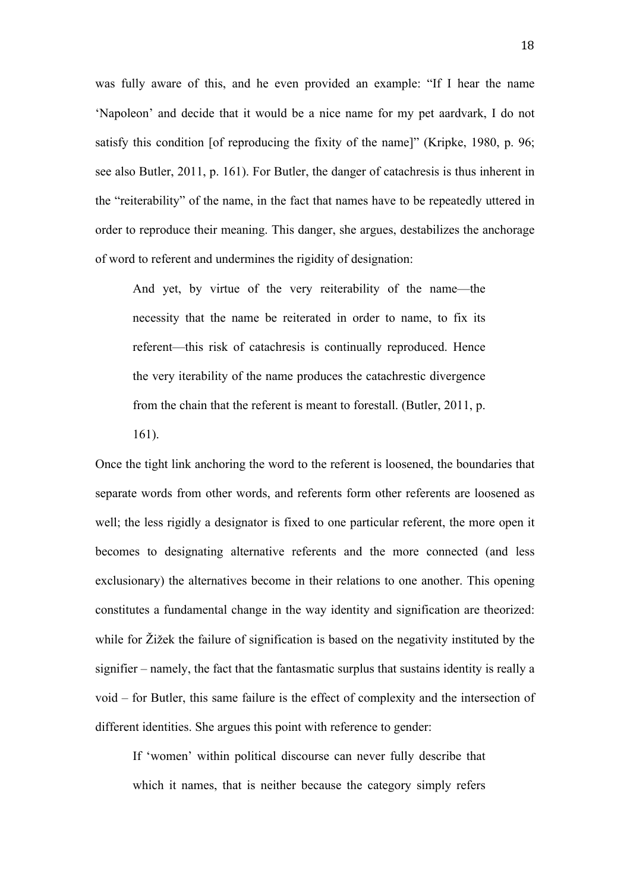was fully aware of this, and he even provided an example: "If I hear the name 'Napoleon' and decide that it would be a nice name for my pet aardvark, I do not satisfy this condition [of reproducing the fixity of the name]" (Kripke, 1980, p. 96; see also Butler, 2011, p. 161). For Butler, the danger of catachresis is thus inherent in the "reiterability" of the name, in the fact that names have to be repeatedly uttered in order to reproduce their meaning. This danger, she argues, destabilizes the anchorage of word to referent and undermines the rigidity of designation:

And yet, by virtue of the very reiterability of the name—the necessity that the name be reiterated in order to name, to fix its referent—this risk of catachresis is continually reproduced. Hence the very iterability of the name produces the catachrestic divergence from the chain that the referent is meant to forestall. (Butler, 2011, p.

161).

Once the tight link anchoring the word to the referent is loosened, the boundaries that separate words from other words, and referents form other referents are loosened as well; the less rigidly a designator is fixed to one particular referent, the more open it becomes to designating alternative referents and the more connected (and less exclusionary) the alternatives become in their relations to one another. This opening constitutes a fundamental change in the way identity and signification are theorized: while for Žižek the failure of signification is based on the negativity instituted by the signifier – namely, the fact that the fantasmatic surplus that sustains identity is really a void – for Butler, this same failure is the effect of complexity and the intersection of different identities. She argues this point with reference to gender:

If 'women' within political discourse can never fully describe that which it names, that is neither because the category simply refers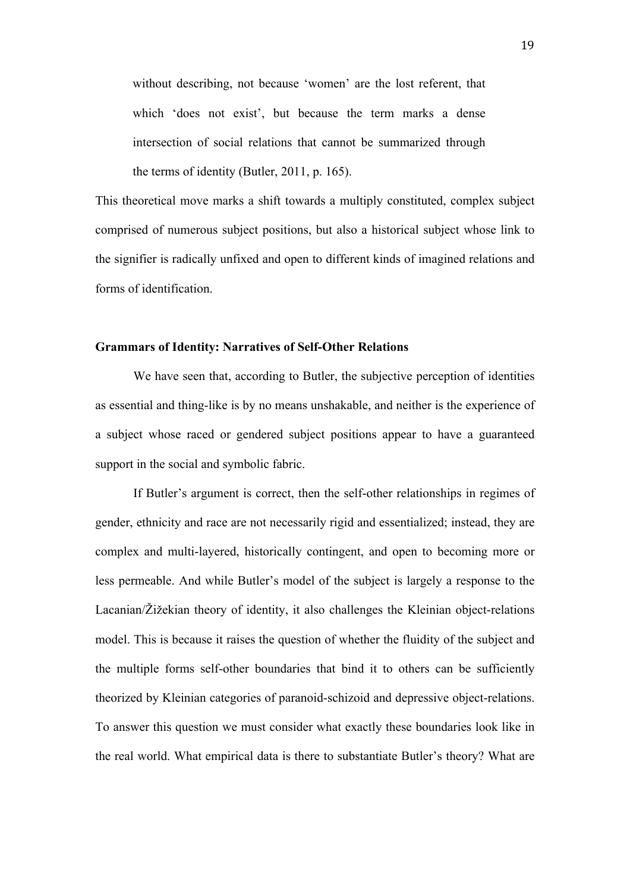without describing, not because 'women' are the lost referent, that which 'does not exist', but because the term marks a dense intersection of social relations that cannot be summarized through the terms of identity (Butler, 2011, p. 165).

This theoretical move marks a shift towards a multiply constituted, complex subject comprised of numerous subject positions, but also a historical subject whose link to the signifier is radically unfixed and open to different kinds of imagined relations and forms of identification.

#### **Grammars of Identity: Narratives of Self-Other Relations**

We have seen that, according to Butler, the subjective perception of identities as essential and thing-like is by no means unshakable, and neither is the experience of a subject whose raced or gendered subject positions appear to have a guaranteed support in the social and symbolic fabric.

If Butler's argument is correct, then the self-other relationships in regimes of gender, ethnicity and race are not necessarily rigid and essentialized; instead, they are complex and multi-layered, historically contingent, and open to becoming more or less permeable. And while Butler's model of the subject is largely a response to the Lacanian/Žižekian theory of identity, it also challenges the Kleinian object-relations model. This is because it raises the question of whether the fluidity of the subject and the multiple forms self-other boundaries that bind it to others can be sufficiently theorized by Kleinian categories of paranoid-schizoid and depressive object-relations. To answer this question we must consider what exactly these boundaries look like in the real world. What empirical data is there to substantiate Butler's theory? What are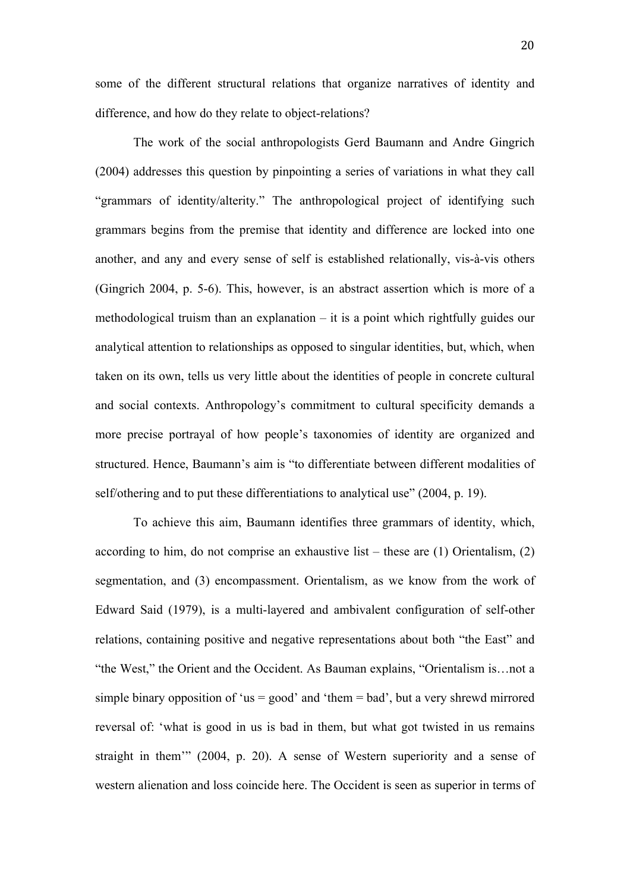some of the different structural relations that organize narratives of identity and difference, and how do they relate to object-relations?

The work of the social anthropologists Gerd Baumann and Andre Gingrich (2004) addresses this question by pinpointing a series of variations in what they call "grammars of identity/alterity." The anthropological project of identifying such grammars begins from the premise that identity and difference are locked into one another, and any and every sense of self is established relationally, vis-à-vis others (Gingrich 2004, p. 5-6). This, however, is an abstract assertion which is more of a methodological truism than an explanation – it is a point which rightfully guides our analytical attention to relationships as opposed to singular identities, but, which, when taken on its own, tells us very little about the identities of people in concrete cultural and social contexts. Anthropology's commitment to cultural specificity demands a more precise portrayal of how people's taxonomies of identity are organized and structured. Hence, Baumann's aim is "to differentiate between different modalities of self/othering and to put these differentiations to analytical use" (2004, p. 19).

To achieve this aim, Baumann identifies three grammars of identity, which, according to him, do not comprise an exhaustive list – these are (1) Orientalism, (2) segmentation, and (3) encompassment. Orientalism, as we know from the work of Edward Said (1979), is a multi-layered and ambivalent configuration of self-other relations, containing positive and negative representations about both "the East" and "the West," the Orient and the Occident. As Bauman explains, "Orientalism is…not a simple binary opposition of 'us  $=$  good' and 'them  $=$  bad', but a very shrewd mirrored reversal of: 'what is good in us is bad in them, but what got twisted in us remains straight in them'" (2004, p. 20). A sense of Western superiority and a sense of western alienation and loss coincide here. The Occident is seen as superior in terms of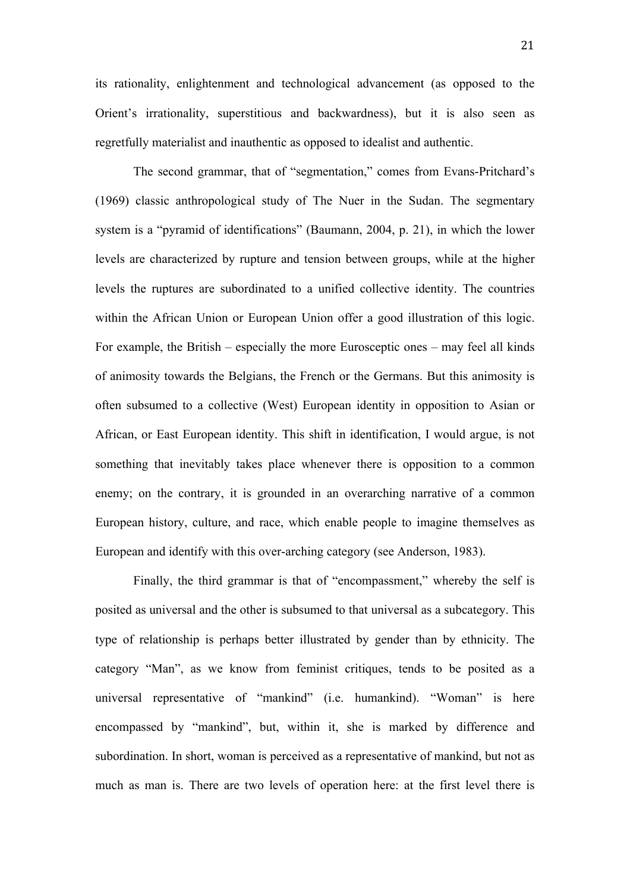its rationality, enlightenment and technological advancement (as opposed to the Orient's irrationality, superstitious and backwardness), but it is also seen as regretfully materialist and inauthentic as opposed to idealist and authentic.

The second grammar, that of "segmentation," comes from Evans-Pritchard's (1969) classic anthropological study of The Nuer in the Sudan. The segmentary system is a "pyramid of identifications" (Baumann, 2004, p. 21), in which the lower levels are characterized by rupture and tension between groups, while at the higher levels the ruptures are subordinated to a unified collective identity. The countries within the African Union or European Union offer a good illustration of this logic. For example, the British – especially the more Eurosceptic ones – may feel all kinds of animosity towards the Belgians, the French or the Germans. But this animosity is often subsumed to a collective (West) European identity in opposition to Asian or African, or East European identity. This shift in identification, I would argue, is not something that inevitably takes place whenever there is opposition to a common enemy; on the contrary, it is grounded in an overarching narrative of a common European history, culture, and race, which enable people to imagine themselves as European and identify with this over-arching category (see Anderson, 1983).

Finally, the third grammar is that of "encompassment," whereby the self is posited as universal and the other is subsumed to that universal as a subcategory. This type of relationship is perhaps better illustrated by gender than by ethnicity. The category "Man", as we know from feminist critiques, tends to be posited as a universal representative of "mankind" (i.e. humankind). "Woman" is here encompassed by "mankind", but, within it, she is marked by difference and subordination. In short, woman is perceived as a representative of mankind, but not as much as man is. There are two levels of operation here: at the first level there is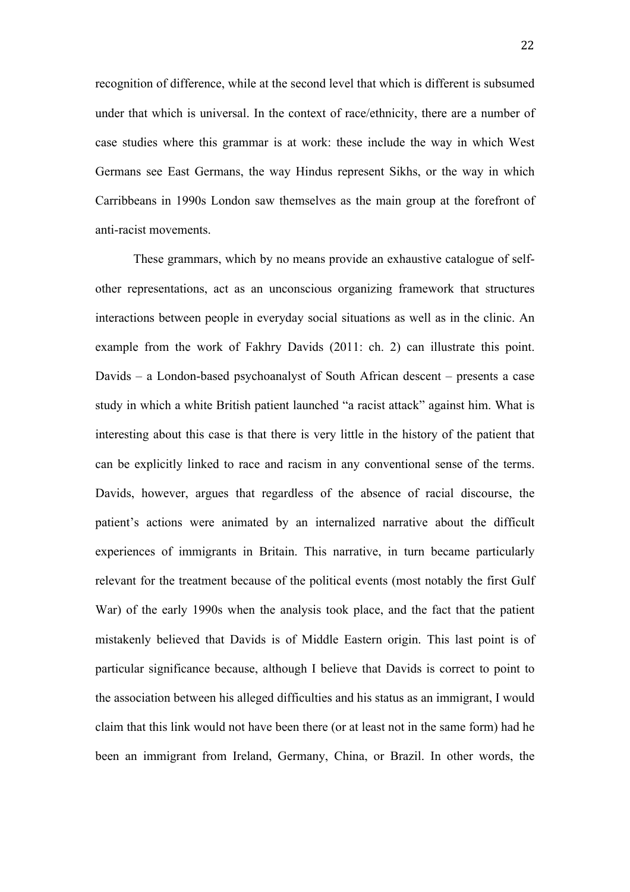recognition of difference, while at the second level that which is different is subsumed under that which is universal. In the context of race/ethnicity, there are a number of case studies where this grammar is at work: these include the way in which West Germans see East Germans, the way Hindus represent Sikhs, or the way in which Carribbeans in 1990s London saw themselves as the main group at the forefront of anti-racist movements.

These grammars, which by no means provide an exhaustive catalogue of selfother representations, act as an unconscious organizing framework that structures interactions between people in everyday social situations as well as in the clinic. An example from the work of Fakhry Davids (2011: ch. 2) can illustrate this point. Davids – a London-based psychoanalyst of South African descent – presents a case study in which a white British patient launched "a racist attack" against him. What is interesting about this case is that there is very little in the history of the patient that can be explicitly linked to race and racism in any conventional sense of the terms. Davids, however, argues that regardless of the absence of racial discourse, the patient's actions were animated by an internalized narrative about the difficult experiences of immigrants in Britain. This narrative, in turn became particularly relevant for the treatment because of the political events (most notably the first Gulf War) of the early 1990s when the analysis took place, and the fact that the patient mistakenly believed that Davids is of Middle Eastern origin. This last point is of particular significance because, although I believe that Davids is correct to point to the association between his alleged difficulties and his status as an immigrant, I would claim that this link would not have been there (or at least not in the same form) had he been an immigrant from Ireland, Germany, China, or Brazil. In other words, the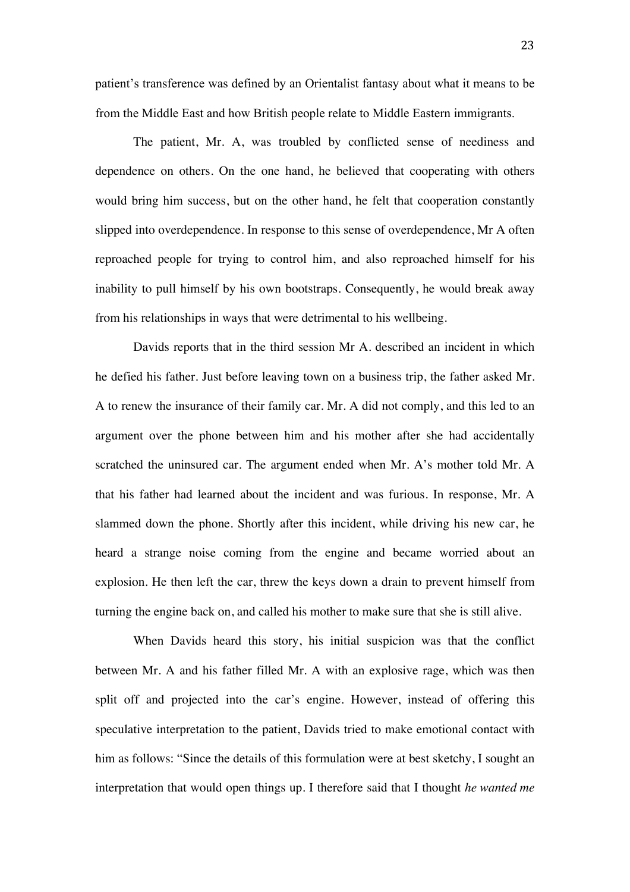patient's transference was defined by an Orientalist fantasy about what it means to be from the Middle East and how British people relate to Middle Eastern immigrants.

The patient, Mr. A, was troubled by conflicted sense of neediness and dependence on others. On the one hand, he believed that cooperating with others would bring him success, but on the other hand, he felt that cooperation constantly slipped into overdependence. In response to this sense of overdependence, Mr A often reproached people for trying to control him, and also reproached himself for his inability to pull himself by his own bootstraps. Consequently, he would break away from his relationships in ways that were detrimental to his wellbeing.

Davids reports that in the third session Mr A. described an incident in which he defied his father. Just before leaving town on a business trip, the father asked Mr. A to renew the insurance of their family car. Mr. A did not comply, and this led to an argument over the phone between him and his mother after she had accidentally scratched the uninsured car. The argument ended when Mr. A's mother told Mr. A that his father had learned about the incident and was furious. In response, Mr. A slammed down the phone. Shortly after this incident, while driving his new car, he heard a strange noise coming from the engine and became worried about an explosion. He then left the car, threw the keys down a drain to prevent himself from turning the engine back on, and called his mother to make sure that she is still alive.

When Davids heard this story, his initial suspicion was that the conflict between Mr. A and his father filled Mr. A with an explosive rage, which was then split off and projected into the car's engine. However, instead of offering this speculative interpretation to the patient, Davids tried to make emotional contact with him as follows: "Since the details of this formulation were at best sketchy, I sought an interpretation that would open things up. I therefore said that I thought *he wanted me*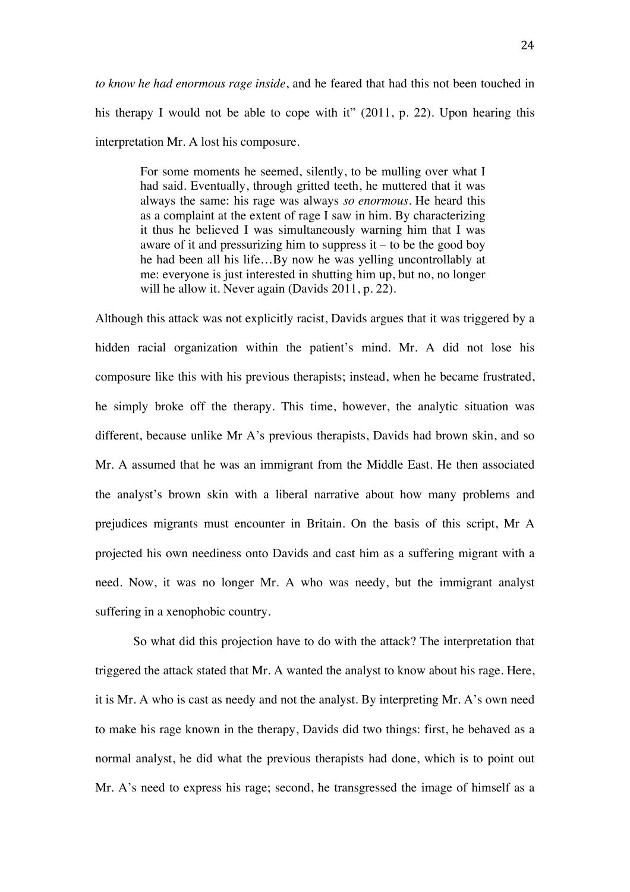*to know he had enormous rage inside*, and he feared that had this not been touched in his therapy I would not be able to cope with it" (2011, p. 22). Upon hearing this interpretation Mr. A lost his composure.

> For some moments he seemed, silently, to be mulling over what I had said. Eventually, through gritted teeth, he muttered that it was always the same: his rage was always *so enormous.* He heard this as a complaint at the extent of rage I saw in him. By characterizing it thus he believed I was simultaneously warning him that I was aware of it and pressurizing him to suppress it – to be the good boy he had been all his life…By now he was yelling uncontrollably at me: everyone is just interested in shutting him up, but no, no longer will he allow it. Never again (Davids 2011, p. 22).

Although this attack was not explicitly racist, Davids argues that it was triggered by a hidden racial organization within the patient's mind. Mr. A did not lose his composure like this with his previous therapists; instead, when he became frustrated, he simply broke off the therapy. This time, however, the analytic situation was different, because unlike Mr A's previous therapists, Davids had brown skin, and so Mr. A assumed that he was an immigrant from the Middle East. He then associated the analyst's brown skin with a liberal narrative about how many problems and prejudices migrants must encounter in Britain. On the basis of this script, Mr A projected his own neediness onto Davids and cast him as a suffering migrant with a need. Now, it was no longer Mr. A who was needy, but the immigrant analyst suffering in a xenophobic country.

So what did this projection have to do with the attack? The interpretation that triggered the attack stated that Mr. A wanted the analyst to know about his rage. Here, it is Mr. A who is cast as needy and not the analyst. By interpreting Mr. A's own need to make his rage known in the therapy, Davids did two things: first, he behaved as a normal analyst, he did what the previous therapists had done, which is to point out Mr. A's need to express his rage; second, he transgressed the image of himself as a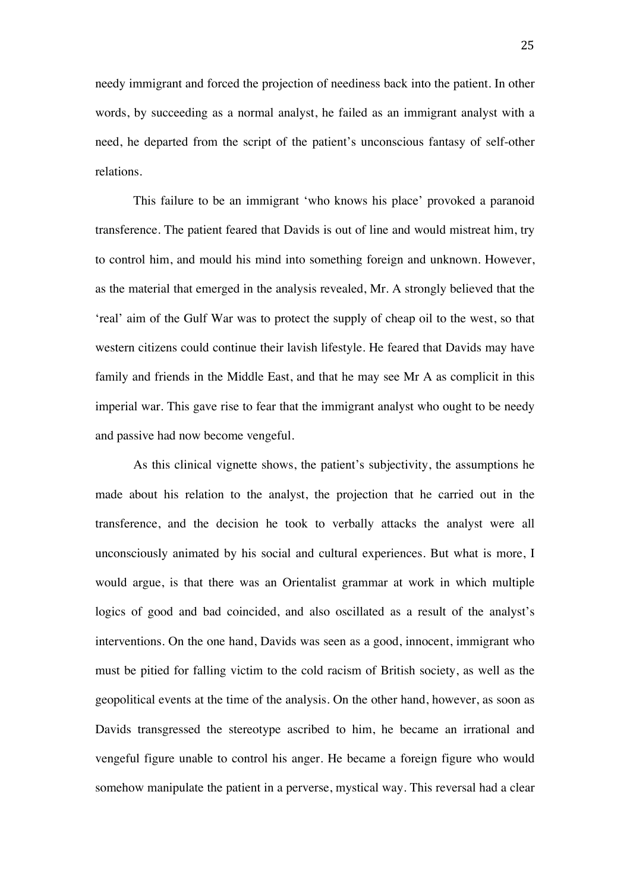needy immigrant and forced the projection of neediness back into the patient. In other words, by succeeding as a normal analyst, he failed as an immigrant analyst with a need, he departed from the script of the patient's unconscious fantasy of self-other relations.

This failure to be an immigrant 'who knows his place' provoked a paranoid transference. The patient feared that Davids is out of line and would mistreat him, try to control him, and mould his mind into something foreign and unknown. However, as the material that emerged in the analysis revealed, Mr. A strongly believed that the 'real' aim of the Gulf War was to protect the supply of cheap oil to the west, so that western citizens could continue their lavish lifestyle. He feared that Davids may have family and friends in the Middle East, and that he may see Mr A as complicit in this imperial war. This gave rise to fear that the immigrant analyst who ought to be needy and passive had now become vengeful.

As this clinical vignette shows, the patient's subjectivity, the assumptions he made about his relation to the analyst, the projection that he carried out in the transference, and the decision he took to verbally attacks the analyst were all unconsciously animated by his social and cultural experiences. But what is more, I would argue, is that there was an Orientalist grammar at work in which multiple logics of good and bad coincided, and also oscillated as a result of the analyst's interventions. On the one hand, Davids was seen as a good, innocent, immigrant who must be pitied for falling victim to the cold racism of British society, as well as the geopolitical events at the time of the analysis. On the other hand, however, as soon as Davids transgressed the stereotype ascribed to him, he became an irrational and vengeful figure unable to control his anger. He became a foreign figure who would somehow manipulate the patient in a perverse, mystical way. This reversal had a clear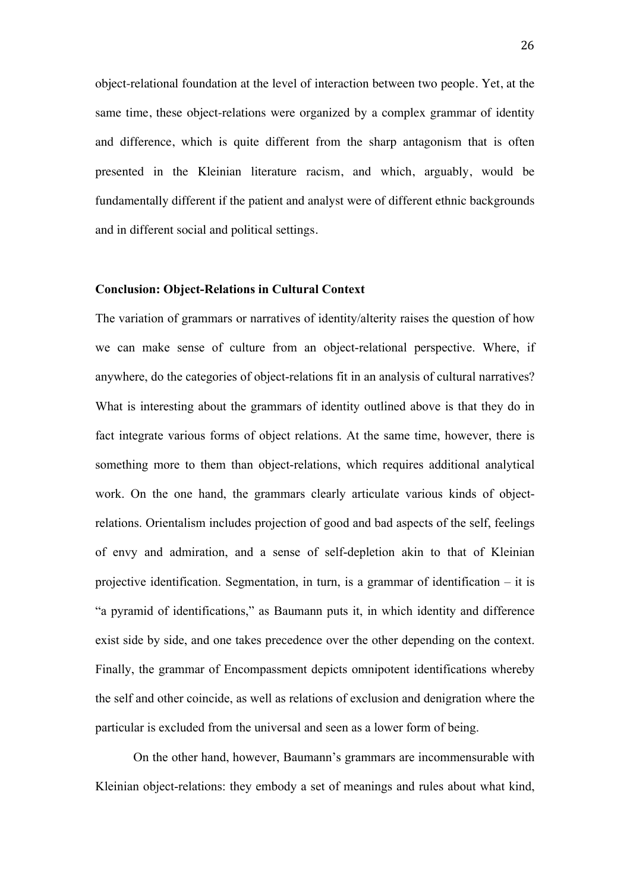object-relational foundation at the level of interaction between two people. Yet, at the same time, these object-relations were organized by a complex grammar of identity and difference, which is quite different from the sharp antagonism that is often presented in the Kleinian literature racism, and which, arguably, would be fundamentally different if the patient and analyst were of different ethnic backgrounds and in different social and political settings.

#### **Conclusion: Object-Relations in Cultural Context**

The variation of grammars or narratives of identity/alterity raises the question of how we can make sense of culture from an object-relational perspective. Where, if anywhere, do the categories of object-relations fit in an analysis of cultural narratives? What is interesting about the grammars of identity outlined above is that they do in fact integrate various forms of object relations. At the same time, however, there is something more to them than object-relations, which requires additional analytical work. On the one hand, the grammars clearly articulate various kinds of objectrelations. Orientalism includes projection of good and bad aspects of the self, feelings of envy and admiration, and a sense of self-depletion akin to that of Kleinian projective identification. Segmentation, in turn, is a grammar of identification – it is "a pyramid of identifications," as Baumann puts it, in which identity and difference exist side by side, and one takes precedence over the other depending on the context. Finally, the grammar of Encompassment depicts omnipotent identifications whereby the self and other coincide, as well as relations of exclusion and denigration where the particular is excluded from the universal and seen as a lower form of being.

On the other hand, however, Baumann's grammars are incommensurable with Kleinian object-relations: they embody a set of meanings and rules about what kind,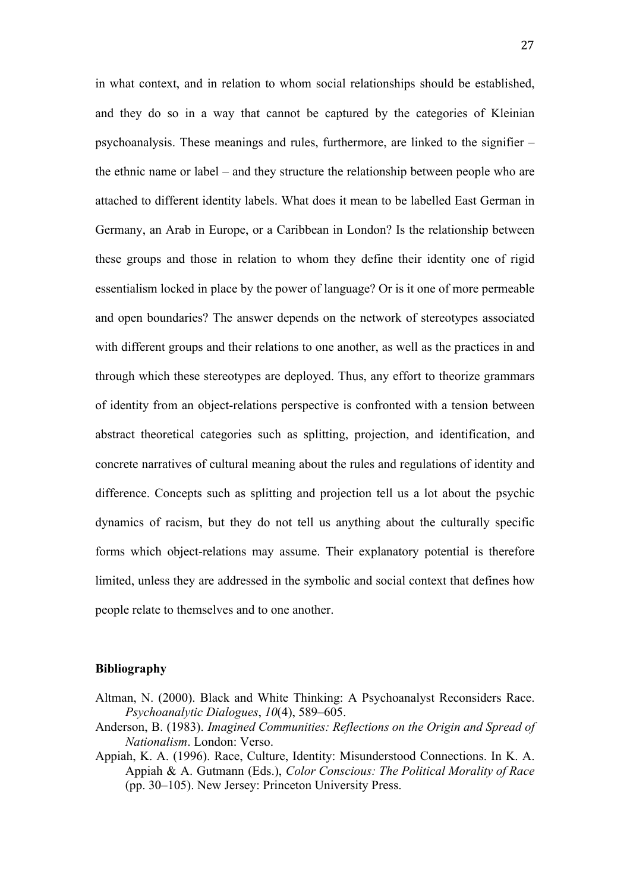in what context, and in relation to whom social relationships should be established, and they do so in a way that cannot be captured by the categories of Kleinian psychoanalysis. These meanings and rules, furthermore, are linked to the signifier – the ethnic name or label – and they structure the relationship between people who are attached to different identity labels. What does it mean to be labelled East German in Germany, an Arab in Europe, or a Caribbean in London? Is the relationship between these groups and those in relation to whom they define their identity one of rigid essentialism locked in place by the power of language? Or is it one of more permeable and open boundaries? The answer depends on the network of stereotypes associated with different groups and their relations to one another, as well as the practices in and through which these stereotypes are deployed. Thus, any effort to theorize grammars of identity from an object-relations perspective is confronted with a tension between abstract theoretical categories such as splitting, projection, and identification, and concrete narratives of cultural meaning about the rules and regulations of identity and difference. Concepts such as splitting and projection tell us a lot about the psychic dynamics of racism, but they do not tell us anything about the culturally specific forms which object-relations may assume. Their explanatory potential is therefore limited, unless they are addressed in the symbolic and social context that defines how people relate to themselves and to one another.

### **Bibliography**

- Altman, N. (2000). Black and White Thinking: A Psychoanalyst Reconsiders Race. *Psychoanalytic Dialogues*, *10*(4), 589–605.
- Anderson, B. (1983). *Imagined Communities: Reflections on the Origin and Spread of Nationalism*. London: Verso.
- Appiah, K. A. (1996). Race, Culture, Identity: Misunderstood Connections. In K. A. Appiah & A. Gutmann (Eds.), *Color Conscious: The Political Morality of Race* (pp. 30–105). New Jersey: Princeton University Press.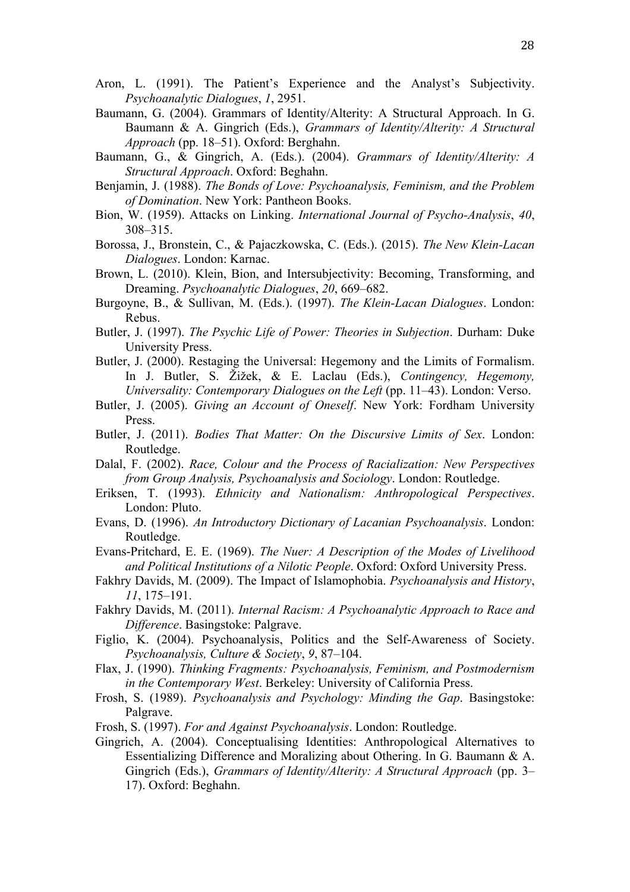- Aron, L. (1991). The Patient's Experience and the Analyst's Subjectivity. *Psychoanalytic Dialogues*, *1*, 2951.
- Baumann, G. (2004). Grammars of Identity/Alterity: A Structural Approach. In G. Baumann & A. Gingrich (Eds.), *Grammars of Identity/Alterity: A Structural Approach* (pp. 18–51). Oxford: Berghahn.
- Baumann, G., & Gingrich, A. (Eds.). (2004). *Grammars of Identity/Alterity: A Structural Approach*. Oxford: Beghahn.
- Benjamin, J. (1988). *The Bonds of Love: Psychoanalysis, Feminism, and the Problem of Domination*. New York: Pantheon Books.
- Bion, W. (1959). Attacks on Linking. *International Journal of Psycho-Analysis*, *40*, 308–315.
- Borossa, J., Bronstein, C., & Pajaczkowska, C. (Eds.). (2015). *The New Klein-Lacan Dialogues*. London: Karnac.
- Brown, L. (2010). Klein, Bion, and Intersubjectivity: Becoming, Transforming, and Dreaming. *Psychoanalytic Dialogues*, *20*, 669–682.
- Burgoyne, B., & Sullivan, M. (Eds.). (1997). *The Klein-Lacan Dialogues*. London: Rebus.
- Butler, J. (1997). *The Psychic Life of Power: Theories in Subjection*. Durham: Duke University Press.
- Butler, J. (2000). Restaging the Universal: Hegemony and the Limits of Formalism. In J. Butler, S. Žižek, & E. Laclau (Eds.), *Contingency, Hegemony, Universality: Contemporary Dialogues on the Left* (pp. 11–43). London: Verso.
- Butler, J. (2005). *Giving an Account of Oneself*. New York: Fordham University Press.
- Butler, J. (2011). *Bodies That Matter: On the Discursive Limits of Sex*. London: Routledge.
- Dalal, F. (2002). *Race, Colour and the Process of Racialization: New Perspectives from Group Analysis, Psychoanalysis and Sociology*. London: Routledge.
- Eriksen, T. (1993). *Ethnicity and Nationalism: Anthropological Perspectives*. London: Pluto.
- Evans, D. (1996). *An Introductory Dictionary of Lacanian Psychoanalysis*. London: Routledge.
- Evans-Pritchard, E. E. (1969). *The Nuer: A Description of the Modes of Livelihood and Political Institutions of a Nilotic People*. Oxford: Oxford University Press.
- Fakhry Davids, M. (2009). The Impact of Islamophobia. *Psychoanalysis and History*, *11*, 175–191.
- Fakhry Davids, M. (2011). *Internal Racism: A Psychoanalytic Approach to Race and Difference*. Basingstoke: Palgrave.
- Figlio, K. (2004). Psychoanalysis, Politics and the Self-Awareness of Society. *Psychoanalysis, Culture & Society*, *9*, 87–104.
- Flax, J. (1990). *Thinking Fragments: Psychoanalysis, Feminism, and Postmodernism in the Contemporary West*. Berkeley: University of California Press.
- Frosh, S. (1989). *Psychoanalysis and Psychology: Minding the Gap*. Basingstoke: Palgrave.
- Frosh, S. (1997). *For and Against Psychoanalysis*. London: Routledge.
- Gingrich, A. (2004). Conceptualising Identities: Anthropological Alternatives to Essentializing Difference and Moralizing about Othering. In G. Baumann & A. Gingrich (Eds.), *Grammars of Identity/Alterity: A Structural Approach* (pp. 3– 17). Oxford: Beghahn.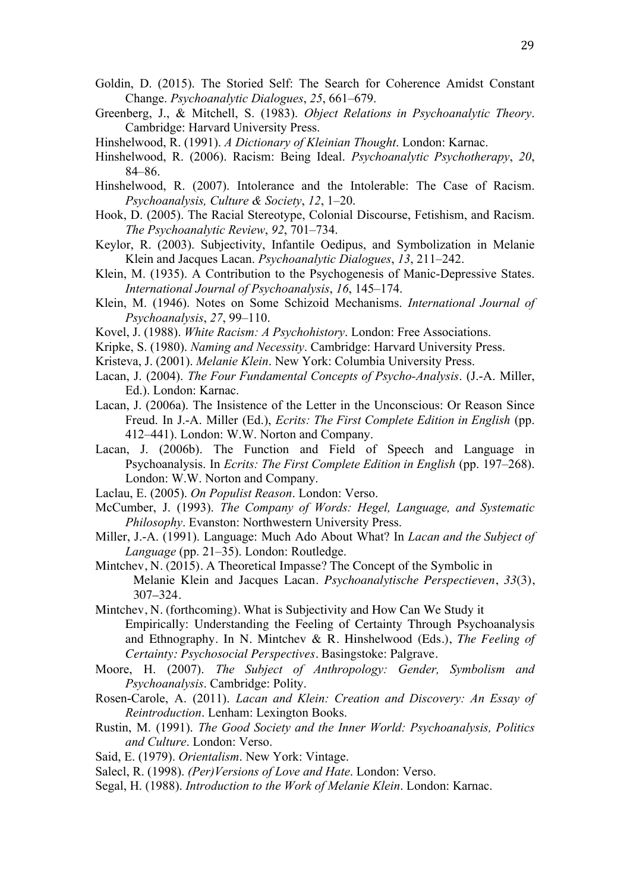- Goldin, D. (2015). The Storied Self: The Search for Coherence Amidst Constant Change. *Psychoanalytic Dialogues*, *25*, 661–679.
- Greenberg, J., & Mitchell, S. (1983). *Object Relations in Psychoanalytic Theory*. Cambridge: Harvard University Press.
- Hinshelwood, R. (1991). *A Dictionary of Kleinian Thought*. London: Karnac.
- Hinshelwood, R. (2006). Racism: Being Ideal. *Psychoanalytic Psychotherapy*, *20*, 84–86.
- Hinshelwood, R. (2007). Intolerance and the Intolerable: The Case of Racism. *Psychoanalysis, Culture & Society*, *12*, 1–20.
- Hook, D. (2005). The Racial Stereotype, Colonial Discourse, Fetishism, and Racism. *The Psychoanalytic Review*, *92*, 701–734.
- Keylor, R. (2003). Subjectivity, Infantile Oedipus, and Symbolization in Melanie Klein and Jacques Lacan. *Psychoanalytic Dialogues*, *13*, 211–242.
- Klein, M. (1935). A Contribution to the Psychogenesis of Manic-Depressive States. *International Journal of Psychoanalysis*, *16*, 145–174.
- Klein, M. (1946). Notes on Some Schizoid Mechanisms. *International Journal of Psychoanalysis*, *27*, 99–110.
- Kovel, J. (1988). *White Racism: A Psychohistory*. London: Free Associations.
- Kripke, S. (1980). *Naming and Necessity*. Cambridge: Harvard University Press.
- Kristeva, J. (2001). *Melanie Klein*. New York: Columbia University Press.
- Lacan, J. (2004). *The Four Fundamental Concepts of Psycho-Analysis*. (J.-A. Miller, Ed.). London: Karnac.
- Lacan, J. (2006a). The Insistence of the Letter in the Unconscious: Or Reason Since Freud. In J.-A. Miller (Ed.), *Ecrits: The First Complete Edition in English* (pp. 412–441). London: W.W. Norton and Company.
- Lacan, J. (2006b). The Function and Field of Speech and Language in Psychoanalysis. In *Ecrits: The First Complete Edition in English* (pp. 197–268). London: W.W. Norton and Company.
- Laclau, E. (2005). *On Populist Reason*. London: Verso.
- McCumber, J. (1993). *The Company of Words: Hegel, Language, and Systematic Philosophy*. Evanston: Northwestern University Press.
- Miller, J.-A. (1991). Language: Much Ado About What? In *Lacan and the Subject of Language* (pp. 21–35). London: Routledge.
- Mintchev, N. (2015). A Theoretical Impasse? The Concept of the Symbolic in Melanie Klein and Jacques Lacan. *Psychoanalytische Perspectieven*, *33*(3), 307–324.
- Mintchev, N. (forthcoming). What is Subjectivity and How Can We Study it Empirically: Understanding the Feeling of Certainty Through Psychoanalysis and Ethnography. In N. Mintchev & R. Hinshelwood (Eds.), *The Feeling of Certainty: Psychosocial Perspectives*. Basingstoke: Palgrave.
- Moore, H. (2007). *The Subject of Anthropology: Gender, Symbolism and Psychoanalysis*. Cambridge: Polity.
- Rosen-Carole, A. (2011). *Lacan and Klein: Creation and Discovery: An Essay of Reintroduction*. Lenham: Lexington Books.
- Rustin, M. (1991). *The Good Society and the Inner World: Psychoanalysis, Politics and Culture*. London: Verso.
- Said, E. (1979). *Orientalism*. New York: Vintage.
- Salecl, R. (1998). *(Per)Versions of Love and Hate*. London: Verso.
- Segal, H. (1988). *Introduction to the Work of Melanie Klein*. London: Karnac.